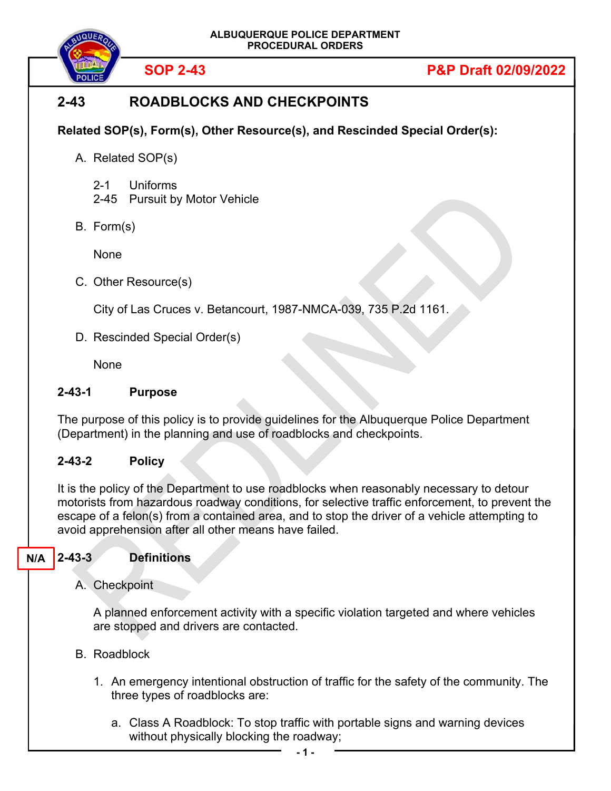

**SOP 2-43 P&P Draft 02/09/2022**

# **2-43 ROADBLOCKS AND CHECKPOINTS**

**Related SOP(s), Form(s), Other Resource(s), and Rescinded Special Order(s):** 

- A. Related SOP(s)
	- 2-1 Uniforms
	- 2-45 Pursuit by Motor Vehicle
- B. Form(s)

None

C. Other Resource(s)

City of Las Cruces v. Betancourt, 1987-NMCA-039, 735 P.2d 1161.

D. Rescinded Special Order(s)

**None** 

#### **2-43-1 Purpose**

The purpose of this policy is to provide guidelines for the Albuquerque Police Department (Department) in the planning and use of roadblocks and checkpoints.

#### **2-43-2 Policy**

It is the policy of the Department to use roadblocks when reasonably necessary to detour motorists from hazardous roadway conditions, for selective traffic enforcement, to prevent the escape of a felon(s) from a contained area, and to stop the driver of a vehicle attempting to avoid apprehension after all other means have failed.

#### **2-43-3 Definitions N/A**

A. Checkpoint

A planned enforcement activity with a specific violation targeted and where vehicles are stopped and drivers are contacted.

- B. Roadblock
	- 1. An emergency intentional obstruction of traffic for the safety of the community. The three types of roadblocks are:
		- a. Class A Roadblock: To stop traffic with portable signs and warning devices without physically blocking the roadway;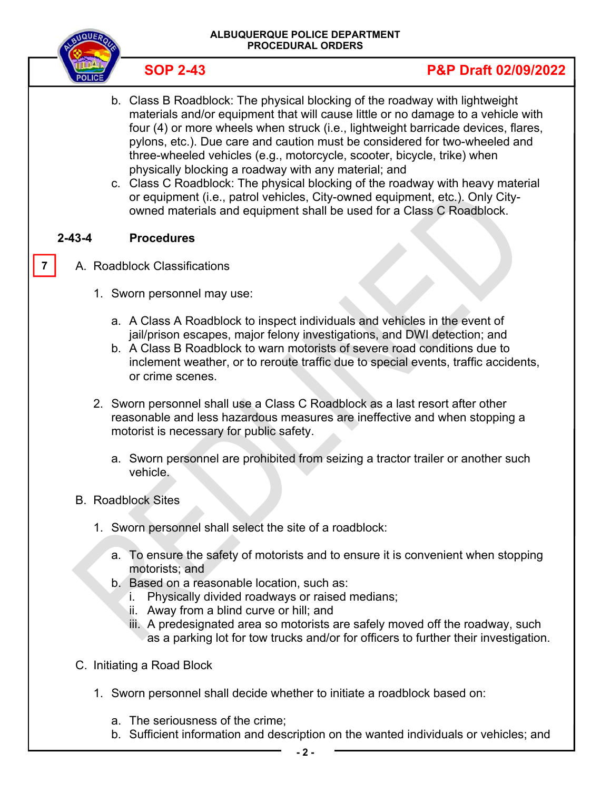

# **SOP 2-43 P&P Draft 02/09/2022**

- b. Class B Roadblock: The physical blocking of the roadway with lightweight materials and/or equipment that will cause little or no damage to a vehicle with four (4) or more wheels when struck (i.e., lightweight barricade devices, flares, pylons, etc.). Due care and caution must be considered for two-wheeled and three-wheeled vehicles (e.g., motorcycle, scooter, bicycle, trike) when physically blocking a roadway with any material; and
- c. Class C Roadblock: The physical blocking of the roadway with heavy material or equipment (i.e., patrol vehicles, City-owned equipment, etc.). Only Cityowned materials and equipment shall be used for a Class C Roadblock.

### **2-43-4 Procedures**

**7** 

- A. Roadblock Classifications
	- 1. Sworn personnel may use:
		- a. A Class A Roadblock to inspect individuals and vehicles in the event of jail/prison escapes, major felony investigations, and DWI detection; and
		- b. A Class B Roadblock to warn motorists of severe road conditions due to inclement weather, or to reroute traffic due to special events, traffic accidents, or crime scenes.
	- 2. Sworn personnel shall use a Class C Roadblock as a last resort after other reasonable and less hazardous measures are ineffective and when stopping a motorist is necessary for public safety.
		- a. Sworn personnel are prohibited from seizing a tractor trailer or another such vehicle.
	- B. Roadblock Sites
		- 1. Sworn personnel shall select the site of a roadblock:
			- a. To ensure the safety of motorists and to ensure it is convenient when stopping motorists; and
			- b. Based on a reasonable location, such as:
				- i. Physically divided roadways or raised medians;
				- ii. Away from a blind curve or hill; and
				- iii. A predesignated area so motorists are safely moved off the roadway, such as a parking lot for tow trucks and/or for officers to further their investigation.
	- C. Initiating a Road Block
		- 1. Sworn personnel shall decide whether to initiate a roadblock based on:
			- a. The seriousness of the crime;
			- b. Sufficient information and description on the wanted individuals or vehicles; and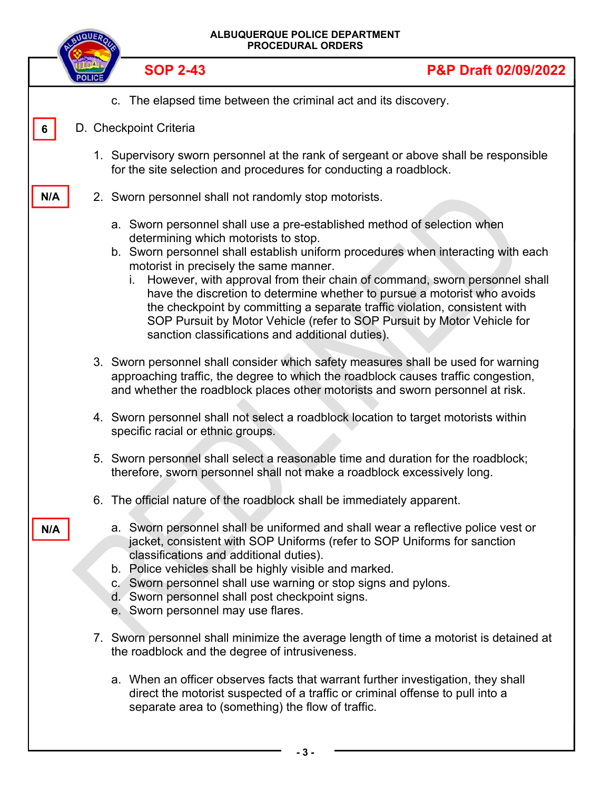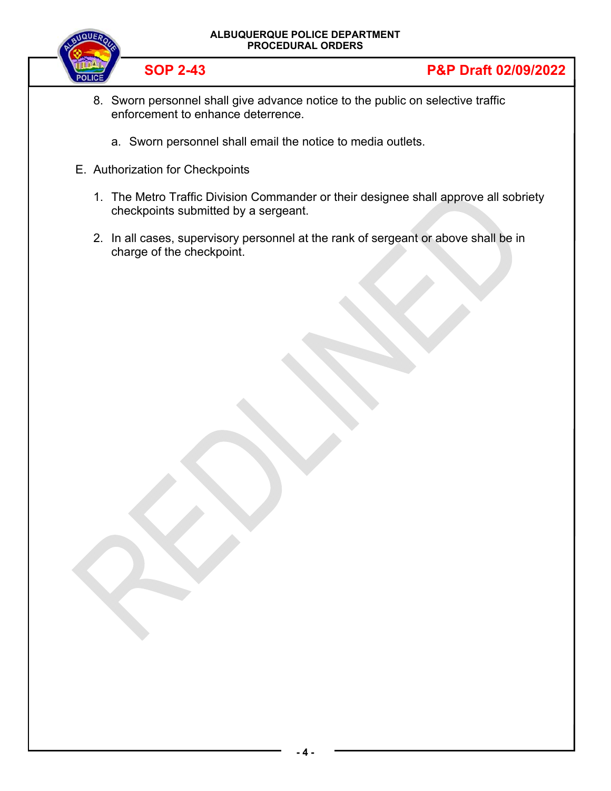#### **ALBUQUERQUE POLICE DEPARTMENT PROCEDURAL ORDERS**



## **SOP 2-43 P&P Draft 02/09/2022**

- 8. Sworn personnel shall give advance notice to the public on selective traffic enforcement to enhance deterrence.
	- a. Sworn personnel shall email the notice to media outlets.
- E. Authorization for Checkpoints
	- 1. The Metro Traffic Division Commander or their designee shall approve all sobriety checkpoints submitted by a sergeant.
	- 2. In all cases, supervisory personnel at the rank of sergeant or above shall be in charge of the checkpoint.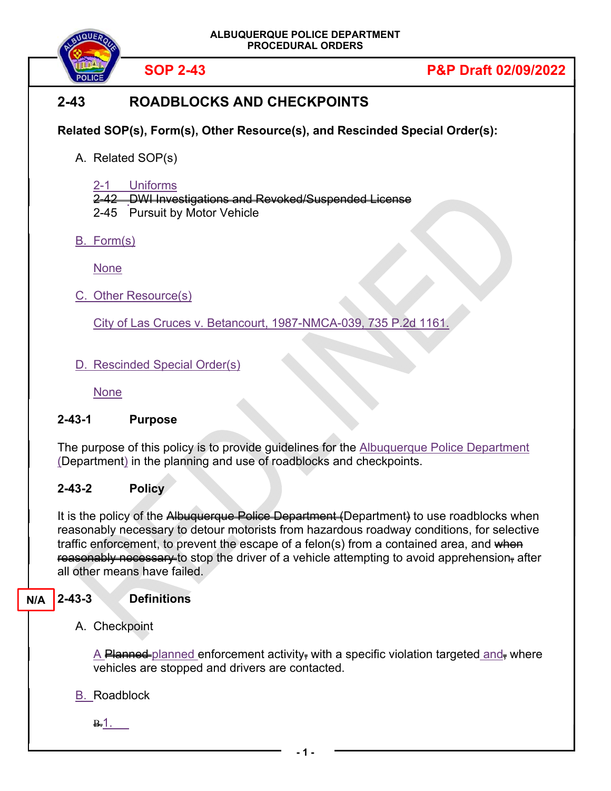

# **SOP 2-43 P&P Draft 02/09/2022**

# **2-43 ROADBLOCKS AND CHECKPOINTS**

**Related SOP(s), Form(s), Other Resource(s), and Rescinded Special Order(s):** 

A. Related SOP(s)

2-1 Uniforms

2-42 DWI Investigations and Revoked/Suspended License

2-45 Pursuit by Motor Vehicle

B. Form(s)

None

C. Other Resource(s)

City of Las Cruces v. Betancourt, 1987-NMCA-039, 735 P.2d 1161.

D. Rescinded Special Order(s)

None

### **2-43-1 Purpose**

The purpose of this policy is to provide guidelines for the **Albuquerque Police Department** (Department) in the planning and use of roadblocks and checkpoints.

### **2-43-2 Policy**

It is the policy of the Albuquerque Police Department (Department) to use roadblocks when reasonably necessary to detour motorists from hazardous roadway conditions, for selective traffic enforcement, to prevent the escape of a felon(s) from a contained area, and when reasonably necessary to stop the driver of a vehicle attempting to avoid apprehension, after all other means have failed.

#### **2-43-3 Definitions N/A**

A. Checkpoint

 $\Delta$  Planned planned enforcement activity, with a specific violation targeted and, where vehicles are stopped and drivers are contacted.

B. Roadblock

<u>B.1. \_</u>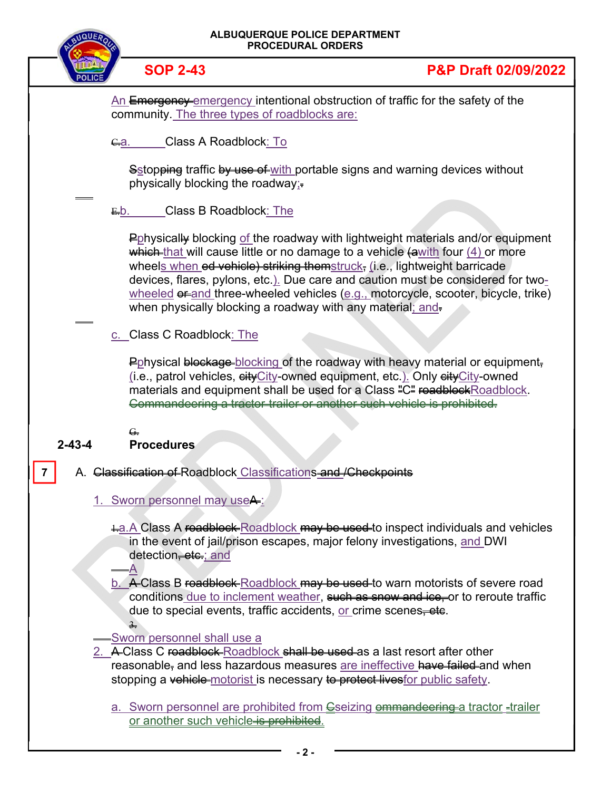# **ALBUQUERQUE POLICE DEPARTMENT PROCEDURAL ORDERS SOP 2-43 P&P Draft 02/09/2022** An Emergency emergency intentional obstruction of traffic for the safety of the community. The three types of roadblocks are: G.a. Class A Roadblock: To Sstop<del>ping</del> traffic by use of with portable signs and warning devices without physically blocking the roadway; $=$ -E.b. Class B Roadblock: The Pphysically blocking of the roadway with lightweight materials and/or equipment which that will cause little or no damage to a vehicle  $\left(\frac{1}{2}\right)$  four  $\left(4\right)$  or more wheels when ed vehicle) striking themstruck, (i.e., lightweight barricade devices, flares, pylons, etc.). Due care and caution must be considered for twowheeled  $e^{\pm}$  and three-wheeled vehicles (e.g., motorcycle, scooter, bicycle, trike) when physically blocking a roadway with any material; and-c. Class C Roadblock: The Pphysical blockage blocking of the roadway with heavy material or equipment, (i.e., patrol vehicles,  $e^{i t}$ City-owned equipment, etc.). Only  $e^{i t}$ City-owned materials and equipment shall be used for a Class "C" readblockRoadblock. Commandeering a tractor-trailer or another such vehicle is prohibited. G. **2-43-4 Procedures** A. Classification of Roadblock Classifications and /Checkpoints 1. Sworn personnel may useA:  $\pm$ a. A Class A roadblock Roadblock may be used to inspect individuals and vehicles in the event of jail/prison escapes, major felony investigations, and DWI detection<del>, etc.</del>; and A b. A Class B roadblock Roadblock may be used to warn motorists of severe road conditions due to inclement weather, such as snow and ice, or to reroute traffic due to special events, traffic accidents, or crime scenes, etc. 3. Sworn personnel shall use a 2. A Class C roadblock Roadblock shall be used as a last resort after other reasonable<sub></sub> and less hazardous measures are ineffective have failed and when stopping a vehicle motorist is necessary to protect livesfor public safety. a. Sworn personnel are prohibited from Gseizing om mandeering a tractor -trailer or another such vehicle is prohibited. **7**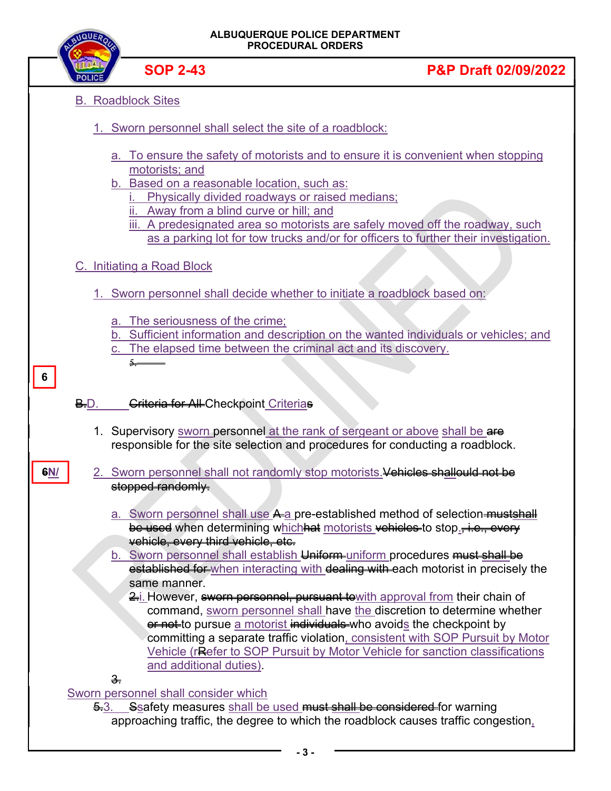|     | ALBUQUERQUE POLICE DEPARTMENT<br><b>PROCEDURAL ORDERS</b> |                                                                                                                                                         |                                                                                                                                                                                                                                                                                                                                                                                                                |
|-----|-----------------------------------------------------------|---------------------------------------------------------------------------------------------------------------------------------------------------------|----------------------------------------------------------------------------------------------------------------------------------------------------------------------------------------------------------------------------------------------------------------------------------------------------------------------------------------------------------------------------------------------------------------|
|     |                                                           | <b>SOP 2-43</b>                                                                                                                                         | <b>P&amp;P Draft 02/09/2022</b>                                                                                                                                                                                                                                                                                                                                                                                |
|     |                                                           | <b>B.</b> Roadblock Sites                                                                                                                               |                                                                                                                                                                                                                                                                                                                                                                                                                |
|     |                                                           | 1. Sworn personnel shall select the site of a roadblock:                                                                                                |                                                                                                                                                                                                                                                                                                                                                                                                                |
|     |                                                           | motorists; and<br>b. Based on a reasonable location, such as:<br>Physically divided roadways or raised medians;<br>Away from a blind curve or hill; and | a. To ensure the safety of motorists and to ensure it is convenient when stopping<br>iii. A predesignated area so motorists are safely moved off the roadway, such<br>as a parking lot for tow trucks and/or for officers to further their investigation.                                                                                                                                                      |
|     |                                                           | C. Initiating a Road Block                                                                                                                              |                                                                                                                                                                                                                                                                                                                                                                                                                |
|     |                                                           |                                                                                                                                                         | 1. Sworn personnel shall decide whether to initiate a roadblock based on:                                                                                                                                                                                                                                                                                                                                      |
| 6   |                                                           | a. The seriousness of the crime;<br>5. –                                                                                                                | b. Sufficient information and description on the wanted individuals or vehicles; and<br>c. The elapsed time between the criminal act and its discovery.                                                                                                                                                                                                                                                        |
|     | B.D.                                                      | Griteria for All-Checkpoint Criterias                                                                                                                   |                                                                                                                                                                                                                                                                                                                                                                                                                |
|     |                                                           |                                                                                                                                                         | 1. Supervisory sworn personnel at the rank of sergeant or above shall be are<br>responsible for the site selection and procedures for conducting a roadblock.                                                                                                                                                                                                                                                  |
| GN/ |                                                           | stopped randomly.                                                                                                                                       | 2. Sworn personnel shall not randomly stop motorists. Vehicles shallould not be                                                                                                                                                                                                                                                                                                                                |
|     |                                                           | vehicle, every third vehicle, etc.<br>same manner.                                                                                                      | a. Sworn personnel shall use A a pre-established method of selection-mustshall<br>be used when determining which hat motorists vehicles to stop., i.e., every<br>b. Sworn personnel shall establish Uniform-uniform procedures must shall be<br>established for when interacting with dealing with each motorist in precisely the<br>2. However, sworn personnel, pursuant towith approval from their chain of |
|     |                                                           | and additional duties).                                                                                                                                 | command, sworn personnel shall have the discretion to determine whether<br>er not to pursue a motorist individuals who avoids the checkpoint by<br>committing a separate traffic violation, consistent with SOP Pursuit by Motor<br>Vehicle (re efer to SOP Pursuit by Motor Vehicle for sanction classifications                                                                                              |
|     |                                                           | $\frac{3}{2}$<br><b>Sworn personnel shall consider which</b>                                                                                            |                                                                                                                                                                                                                                                                                                                                                                                                                |
|     |                                                           |                                                                                                                                                         | 5.3. Seafety measures shall be used must shall be considered for warning<br>approaching traffic, the degree to which the roadblock causes traffic congestion,                                                                                                                                                                                                                                                  |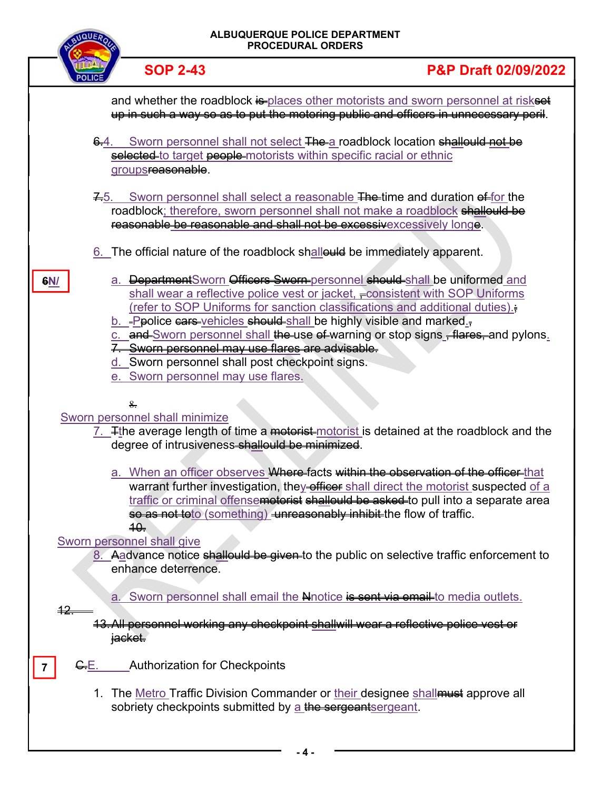| <b>ALBUQUERQUE POLICE DEPARTMENT</b><br><b>PROCEDURAL ORDERS</b> |                                                                                                                                           |                                                                                                                                                                                                                                                                                                                                                                                                                      |
|------------------------------------------------------------------|-------------------------------------------------------------------------------------------------------------------------------------------|----------------------------------------------------------------------------------------------------------------------------------------------------------------------------------------------------------------------------------------------------------------------------------------------------------------------------------------------------------------------------------------------------------------------|
|                                                                  | <b>SOP 2-43</b>                                                                                                                           | <b>P&amp;P Draft 02/09/2022</b>                                                                                                                                                                                                                                                                                                                                                                                      |
|                                                                  |                                                                                                                                           | and whether the roadblock is places other motorists and sworn personnel at riskset<br>up in such a way so as to put the motoring public and officers in unnecessary peril.                                                                                                                                                                                                                                           |
|                                                                  | $6.4$ .<br>groups <del>reasonable</del> .                                                                                                 | Sworn personnel shall not select The a roadblock location shallould not be<br>selected to target people motorists within specific racial or ethnic                                                                                                                                                                                                                                                                   |
|                                                                  | 7.5.                                                                                                                                      | Sworn personnel shall select a reasonable The-time and duration of for the<br>roadblock; therefore, sworn personnel shall not make a roadblock shallould be<br>reasonable be reasonable and shall not be excessivexcessively longe.                                                                                                                                                                                  |
|                                                                  |                                                                                                                                           | $6.$ The official nature of the roadblock shallould be immediately apparent.                                                                                                                                                                                                                                                                                                                                         |
| 6N/                                                              | 7. Sworn personnel may use flares are advisable.<br>d. Sworn personnel shall post checkpoint signs.<br>e. Sworn personnel may use flares. | a. DepartmentSworn Officers Sworn-personnel should-shall be uniformed and<br>shall wear a reflective police vest or jacket, = consistent with SOP Uniforms<br>(refer to SOP Uniforms for sanction classifications and additional duties).<br>b. -Ppolice cars-vehicles should-shall be highly visible and marked.<br>c. and Sworn personnel shall the use of warning or stop signs <del>, flares, a</del> nd pylons. |
|                                                                  | 8.                                                                                                                                        |                                                                                                                                                                                                                                                                                                                                                                                                                      |
|                                                                  | Sworn personnel shall minimize<br>degree of intrusiveness-shallould be minimized.                                                         | 7. Fine average length of time a motorist-motorist is detained at the roadblock and the                                                                                                                                                                                                                                                                                                                              |
|                                                                  | 40.                                                                                                                                       | a. When an officer observes Where-facts within the observation of the officer-that<br>warrant further investigation, they officer shall direct the motorist suspected of a<br>traffic or criminal offensemotorist shallould be asked to pull into a separate area<br>so as not toto (something) unreasonably inhibit the flow of traffic.                                                                            |
|                                                                  | Sworn personnel shall give<br>enhance deterrence.                                                                                         | 8. A advance notice shallould be given to the public on selective traffic enforcement to                                                                                                                                                                                                                                                                                                                             |
| <u>42.</u>                                                       | a.<br><del>jacket.</del>                                                                                                                  | Sworn personnel shall email the Nnotice is sent via email to media outlets.<br>13. All personnel working any checkpoint shallwill wear a reflective police vest or                                                                                                                                                                                                                                                   |
| <del>C.</del> E.                                                 | <b>Authorization for Checkpoints</b>                                                                                                      |                                                                                                                                                                                                                                                                                                                                                                                                                      |
|                                                                  | sobriety checkpoints submitted by a the sergeant sergeant.                                                                                | 1. The Metro Traffic Division Commander or their designee shall must approve all                                                                                                                                                                                                                                                                                                                                     |
|                                                                  |                                                                                                                                           |                                                                                                                                                                                                                                                                                                                                                                                                                      |